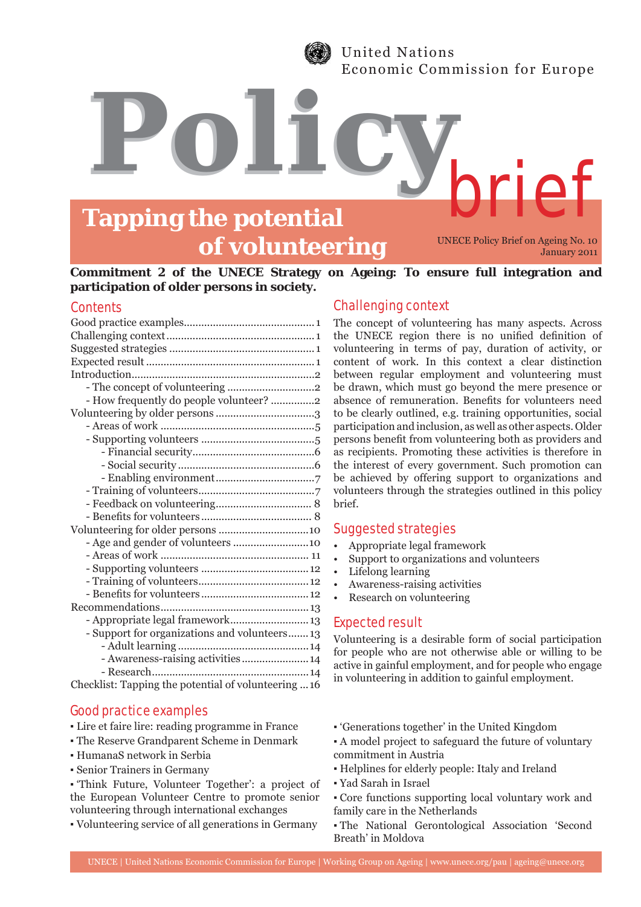

United Nations Economic Commission for Europe

# **Tapping the potential of volunteering**

*Policy*

UNECE Policy Brief on Ageing No. 10 January 2011

brief

## **Commitment 2 of the UNECE Strategy on Ageing: To ensure full integration and participation of older persons in society.**

# **Contents**

| - How frequently do people volunteer? 2              |
|------------------------------------------------------|
|                                                      |
|                                                      |
|                                                      |
|                                                      |
|                                                      |
|                                                      |
|                                                      |
|                                                      |
|                                                      |
|                                                      |
| - Age and gender of volunteers 10                    |
|                                                      |
|                                                      |
|                                                      |
|                                                      |
|                                                      |
| - Appropriate legal framework 13                     |
| - Support for organizations and volunteers 13        |
|                                                      |
| - Awareness-raising activities 14                    |
|                                                      |
| Checklist: Tapping the potential of volunteering  16 |

# Good practice examples

- Lire et faire lire: reading programme in France
- The Reserve Grandparent Scheme in Denmark
- HumanaS network in Serbia
- Senior Trainers in Germany
- 'Think Future, Volunteer Together': a project of the European Volunteer Centre to promote senior volunteering through international exchanges
- Volunteering service of all generations in Germany

# Challenging context

The concept of volunteering has many aspects. Across the UNECE region there is no unified definition of volunteering in terms of pay, duration of activity, or content of work. In this context a clear distinction between regular employment and volunteering must be drawn, which must go beyond the mere presence or absence of remuneration. Benefits for volunteers need to be clearly outlined, e.g. training opportunities, social participation and inclusion, as well as other aspects. Older persons benefit from volunteering both as providers and as recipients. Promoting these activities is therefore in the interest of every government. Such promotion can be achieved by offering support to organizations and volunteers through the strategies outlined in this policy brief.

#### Suggested strategies

- Appropriate legal framework
- Support to organizations and volunteers
- Lifelong learning
- Awareness-raising activities
- Research on volunteering

# Expected result

Volunteering is a desirable form of social participation for people who are not otherwise able or willing to be active in gainful employment, and for people who engage in volunteering in addition to gainful employment.

- 'Generations together' in the United Kingdom
- A model project to safeguard the future of voluntary commitment in Austria
- Helplines for elderly people: Italy and Ireland
- Yad Sarah in Israel
- Core functions supporting local voluntary work and family care in the Netherlands
- The National Gerontological Association 'Second Breath' in Moldova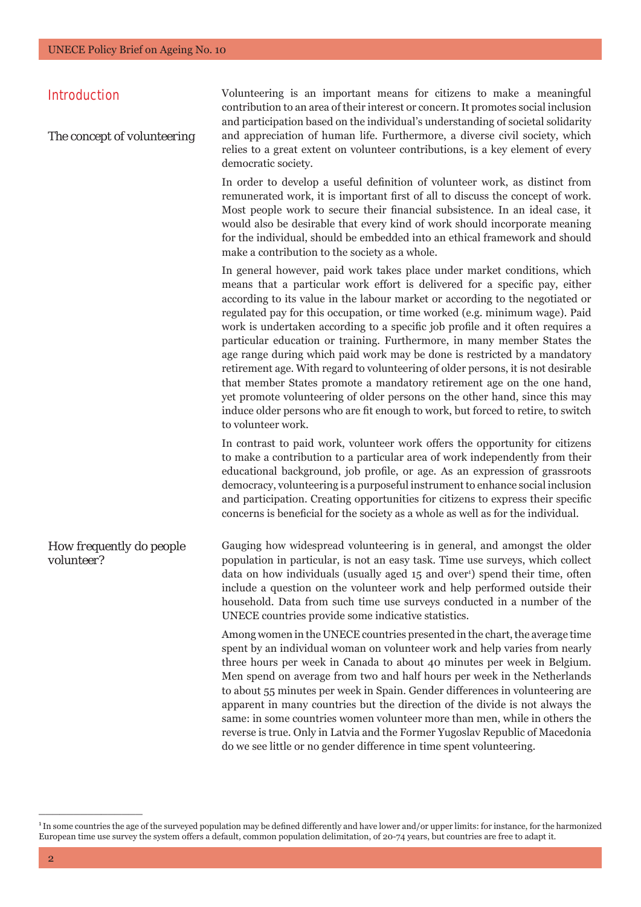# Introduction

*The concept of volunteering*

Volunteering is an important means for citizens to make a meaningful contribution to an area of their interest or concern. It promotes social inclusion and participation based on the individual's understanding of societal solidarity and appreciation of human life. Furthermore, a diverse civil society, which relies to a great extent on volunteer contributions, is a key element of every democratic society.

In order to develop a useful definition of volunteer work, as distinct from remunerated work, it is important first of all to discuss the concept of work. Most people work to secure their financial subsistence. In an ideal case, it would also be desirable that every kind of work should incorporate meaning for the individual, should be embedded into an ethical framework and should make a contribution to the society as a whole.

In general however, paid work takes place under market conditions, which means that a particular work effort is delivered for a specific pay, either according to its value in the labour market or according to the negotiated or regulated pay for this occupation, or time worked (e.g. minimum wage). Paid work is undertaken according to a specific job profile and it often requires a particular education or training. Furthermore, in many member States the age range during which paid work may be done is restricted by a mandatory retirement age. With regard to volunteering of older persons, it is not desirable that member States promote a mandatory retirement age on the one hand, yet promote volunteering of older persons on the other hand, since this may induce older persons who are fit enough to work, but forced to retire, to switch to volunteer work.

In contrast to paid work, volunteer work offers the opportunity for citizens to make a contribution to a particular area of work independently from their educational background, job profile, or age. As an expression of grassroots democracy, volunteering is a purposeful instrument to enhance social inclusion and participation. Creating opportunities for citizens to express their specific concerns is beneficial for the society as a whole as well as for the individual.

*How frequently do people volunteer?* Gauging how widespread volunteering is in general, and amongst the older population in particular, is not an easy task. Time use surveys, which collect data on how individuals (usually aged 15 and over<sup>1</sup>) spend their time, often include a question on the volunteer work and help performed outside their household. Data from such time use surveys conducted in a number of the UNECE countries provide some indicative statistics.

> Among women in the UNECE countries presented in the chart, the average time spent by an individual woman on volunteer work and help varies from nearly three hours per week in Canada to about 40 minutes per week in Belgium. Men spend on average from two and half hours per week in the Netherlands to about 55 minutes per week in Spain. Gender differences in volunteering are apparent in many countries but the direction of the divide is not always the same: in some countries women volunteer more than men, while in others the reverse is true. Only in Latvia and the Former Yugoslav Republic of Macedonia do we see little or no gender difference in time spent volunteering.

<sup>&</sup>lt;sup>1</sup>In some countries the age of the surveyed population may be defined differently and have lower and/or upper limits: for instance, for the harmonized European time use survey the system offers a default, common population delimitation, of 20-74 years, but countries are free to adapt it.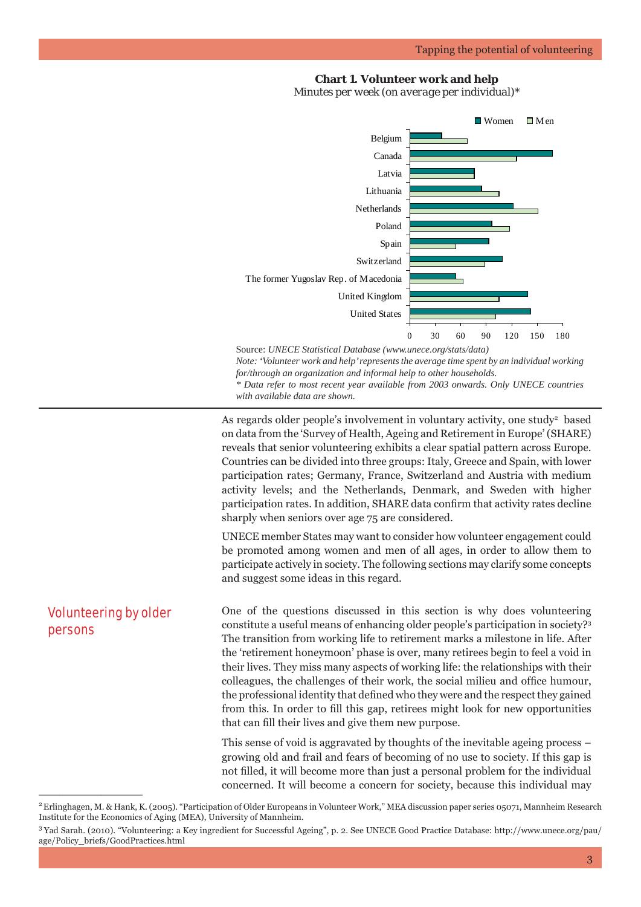#### **Chart 1. Volunteer work and help**

*Minutes per week (on average per individual)\**



Source: *UNECE Statistical Database (www.unece.org/stats/data) Note: 'Volunteer work and help' represents the average time spent by an individual working for/through an organization and informal help to other households. \* Data refer to most recent year available from 2003 onwards. Only UNECE countries with available data are shown.* 

As regards older people's involvement in voluntary activity, one study<sup>2</sup> based on data from the 'Survey of Health, Ageing and Retirement in Europe' (SHARE) reveals that senior volunteering exhibits a clear spatial pattern across Europe. Countries can be divided into three groups: Italy, Greece and Spain, with lower participation rates; Germany, France, Switzerland and Austria with medium activity levels; and the Netherlands, Denmark, and Sweden with higher participation rates. In addition, SHARE data confirm that activity rates decline sharply when seniors over age 75 are considered.

UNECE member States may want to consider how volunteer engagement could be promoted among women and men of all ages, in order to allow them to participate actively in society. The following sections may clarify some concepts and suggest some ideas in this regard.

One of the questions discussed in this section is why does volunteering constitute a useful means of enhancing older people's participation in society?3 The transition from working life to retirement marks a milestone in life. After the 'retirement honeymoon' phase is over, many retirees begin to feel a void in their lives. They miss many aspects of working life: the relationships with their colleagues, the challenges of their work, the social milieu and office humour, the professional identity that defined who they were and the respect they gained from this. In order to fill this gap, retirees might look for new opportunities that can fill their lives and give them new purpose.

This sense of void is aggravated by thoughts of the inevitable ageing process – growing old and frail and fears of becoming of no use to society. If this gap is not filled, it will become more than just a personal problem for the individual concerned. It will become a concern for society, because this individual may

Volunteering by older

persons

<sup>2</sup> Erlinghagen, M. & Hank, K. (2005). "Participation of Older Europeans in Volunteer Work," MEA discussion paper series 05071, Mannheim Research Institute for the Economics of Aging (MEA), University of Mannheim.

<sup>3</sup> Yad Sarah. (2010). "Volunteering: a Key ingredient for Successful Ageing", p. 2. See UNECE Good Practice Database: http://www.unece.org/pau/ age/Policy\_briefs/GoodPractices.html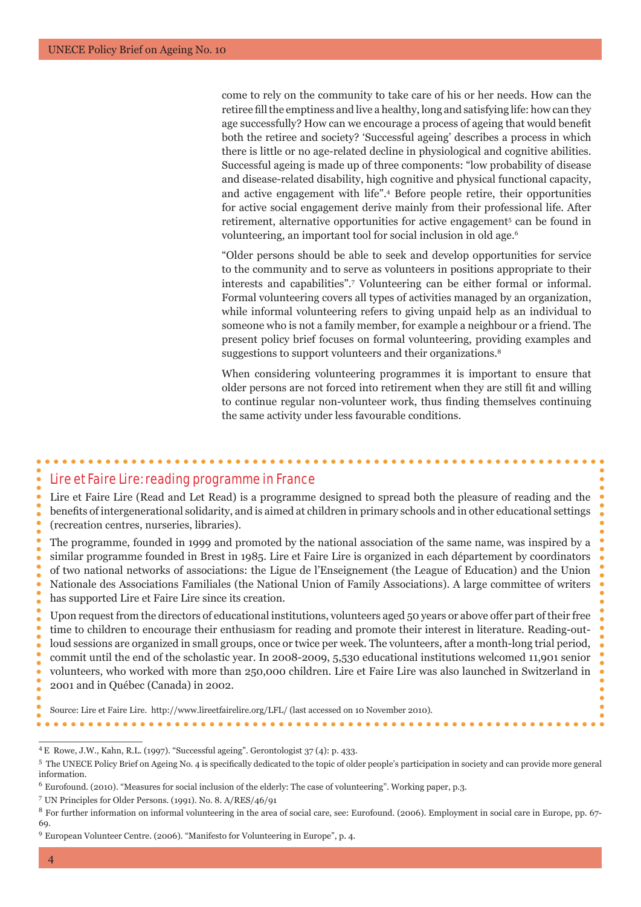come to rely on the community to take care of his or her needs. How can the retiree fill the emptiness and live a healthy, long and satisfying life: how can they age successfully? How can we encourage a process of ageing that would benefit both the retiree and society? 'Successful ageing' describes a process in which there is little or no age-related decline in physiological and cognitive abilities. Successful ageing is made up of three components: "low probability of disease and disease-related disability, high cognitive and physical functional capacity, and active engagement with life".4 Before people retire, their opportunities for active social engagement derive mainly from their professional life. After retirement, alternative opportunities for active engagement<sup>5</sup> can be found in volunteering, an important tool for social inclusion in old age.6

"Older persons should be able to seek and develop opportunities for service to the community and to serve as volunteers in positions appropriate to their interests and capabilities".7 Volunteering can be either formal or informal. Formal volunteering covers all types of activities managed by an organization, while informal volunteering refers to giving unpaid help as an individual to someone who is not a family member, for example a neighbour or a friend. The present policy brief focuses on formal volunteering, providing examples and suggestions to support volunteers and their organizations.<sup>8</sup>

When considering volunteering programmes it is important to ensure that older persons are not forced into retirement when they are still fit and willing to continue regular non-volunteer work, thus finding themselves continuing the same activity under less favourable conditions.

# Lire et Faire Lire: reading programme in France

Lire et Faire Lire (Read and Let Read) is a programme designed to spread both the pleasure of reading and the benefits of intergenerational solidarity, and is aimed at children in primary schools and in other educational settings (recreation centres, nurseries, libraries).

The programme, founded in 1999 and promoted by the national association of the same name, was inspired by a similar programme founded in Brest in 1985. Lire et Faire Lire is organized in each département by coordinators of two national networks of associations: the Ligue de l'Enseignement (the League of Education) and the Union Nationale des Associations Familiales (the National Union of Family Associations). A large committee of writers has supported Lire et Faire Lire since its creation.

Upon request from the directors of educational institutions, volunteers aged 50 years or above offer part of their free time to children to encourage their enthusiasm for reading and promote their interest in literature. Reading-outloud sessions are organized in small groups, once or twice per week. The volunteers, after a month-long trial period, commit until the end of the scholastic year. In 2008-2009, 5,530 educational institutions welcomed 11,901 senior volunteers, who worked with more than 250,000 children. Lire et Faire Lire was also launched in Switzerland in 2001 and in Québec (Canada) in 2002.

Source: Lire et Faire Lire. http://www.lireetfairelire.org/LFL/ (last accessed on 10 November 2010).

<sup>4</sup> E Rowe, J.W., Kahn, R.L. (1997). "Successful ageing". Gerontologist 37 (4): p. 433.

<sup>&</sup>lt;sup>5</sup> The UNECE Policy Brief on Ageing No. 4 is specifically dedicated to the topic of older people's participation in society and can provide more general information.

<sup>6</sup> Eurofound. (2010). "Measures for social inclusion of the elderly: The case of volunteering". Working paper, p.3.

<sup>7</sup> UN Principles for Older Persons. (1991). No. 8. A/RES/46/91

<sup>8</sup> For further information on informal volunteering in the area of social care, see: Eurofound. (2006). Employment in social care in Europe, pp. 67- 69.

<sup>9</sup> European Volunteer Centre. (2006). "Manifesto for Volunteering in Europe", p. 4.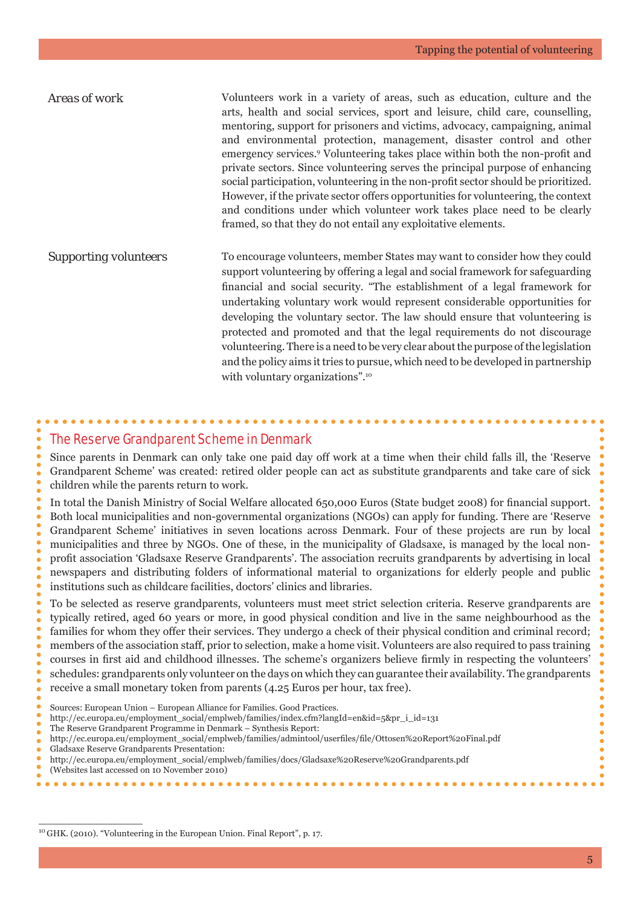| Areas of work                | Volunteers work in a variety of areas, such as education, culture and the<br>arts, health and social services, sport and leisure, child care, counselling,<br>mentoring, support for prisoners and victims, advocacy, campaigning, animal<br>and environmental protection, management, disaster control and other<br>emergency services. <sup>9</sup> Volunteering takes place within both the non-profit and<br>private sectors. Since volunteering serves the principal purpose of enhancing<br>social participation, volunteering in the non-profit sector should be prioritized.<br>However, if the private sector offers opportunities for volunteering, the context<br>and conditions under which volunteer work takes place need to be clearly<br>framed, so that they do not entail any exploitative elements. |
|------------------------------|------------------------------------------------------------------------------------------------------------------------------------------------------------------------------------------------------------------------------------------------------------------------------------------------------------------------------------------------------------------------------------------------------------------------------------------------------------------------------------------------------------------------------------------------------------------------------------------------------------------------------------------------------------------------------------------------------------------------------------------------------------------------------------------------------------------------|
| <b>Supporting volunteers</b> | To encourage volunteers, member States may want to consider how they could<br>support volunteering by offering a legal and social framework for safeguarding<br>financial and social security. "The establishment of a legal framework for<br>undertaking voluntary work would represent considerable opportunities for<br>developing the voluntary sector. The law should ensure that volunteering is<br>protected and promoted and that the legal requirements do not discourage<br>volunteering. There is a need to be very clear about the purpose of the legislation<br>and the policy aims it tries to pursue, which need to be developed in partnership<br>with voluntary organizations". <sup>10</sup>                                                                                                         |

#### The Reserve Grandparent Scheme in Denmark

Since parents in Denmark can only take one paid day off work at a time when their child falls ill, the 'Reserve Grandparent Scheme' was created: retired older people can act as substitute grandparents and take care of sick children while the parents return to work.

In total the Danish Ministry of Social Welfare allocated 650,000 Euros (State budget 2008) for financial support. Both local municipalities and non-governmental organizations (NGOs) can apply for funding. There are 'Reserve Grandparent Scheme' initiatives in seven locations across Denmark. Four of these projects are run by local municipalities and three by NGOs. One of these, in the municipality of Gladsaxe, is managed by the local nonprofi t association 'Gladsaxe Reserve Grandparents'. The association recruits grandparents by advertising in local newspapers and distributing folders of informational material to organizations for elderly people and public institutions such as childcare facilities, doctors' clinics and libraries.

To be selected as reserve grandparents, volunteers must meet strict selection criteria. Reserve grandparents are typically retired, aged 60 years or more, in good physical condition and live in the same neighbourhood as the families for whom they offer their services. They undergo a check of their physical condition and criminal record; members of the association staff, prior to selection, make a home visit. Volunteers are also required to pass training courses in first aid and childhood illnesses. The scheme's organizers believe firmly in respecting the volunteers' schedules: grandparents only volunteer on the days on which they can guarantee their availability. The grandparents receive a small monetary token from parents (4.25 Euros per hour, tax free).

- Sources: European Union European Alliance for Families. Good Practices.
- http://ec.europa.eu/employment\_social/emplweb/families/index.cfm?langId=en&id=5&pr\_i\_id=131
- The Reserve Grandparent Programme in Denmark Synthesis Report:

- Gladsaxe Reserve Grandparents Presentation:
- http://ec.europa.eu/employment\_social/emplweb/families/docs/Gladsaxe%20Reserve%20Grandparents.pdf
- (Websites last accessed on 10 November 2010)

http://ec.europa.eu/employment\_social/emplweb/families/admintool/userfi les/fi le/Ottosen%20Report%20Final.pdf

<sup>10</sup> GHK. (2010). "Volunteering in the European Union. Final Report", p. 17.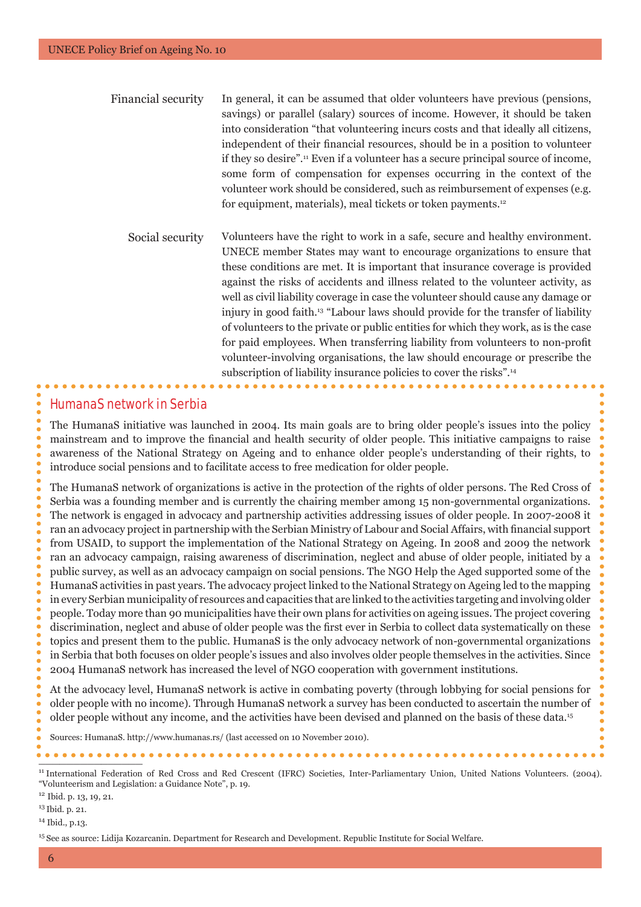| Financial security | In general, it can be assumed that older volunteers have previous (pensions,                   |
|--------------------|------------------------------------------------------------------------------------------------|
|                    | savings) or parallel (salary) sources of income. However, it should be taken                   |
|                    | into consideration "that volunteering incurs costs and that ideally all citizens,              |
|                    | independent of their financial resources, should be in a position to volunteer                 |
|                    | if they so desire". <sup>11</sup> Even if a volunteer has a secure principal source of income, |
|                    | some form of compensation for expenses occurring in the context of the                         |
|                    | volunteer work should be considered, such as reimbursement of expenses (e.g.                   |
|                    | for equipment, materials), meal tickets or token payments. <sup>12</sup>                       |
|                    |                                                                                                |

Social security Volunteers have the right to work in a safe, secure and healthy environment. UNECE member States may want to encourage organizations to ensure that these conditions are met. It is important that insurance coverage is provided against the risks of accidents and illness related to the volunteer activity, as well as civil liability coverage in case the volunteer should cause any damage or injury in good faith.13 "Labour laws should provide for the transfer of liability of volunteers to the private or public entities for which they work, as is the case for paid employees. When transferring liability from volunteers to non-profit volunteer-involving organisations, the law should encourage or prescribe the subscription of liability insurance policies to cover the risks".<sup>14</sup>

#### HumanaS network in Serbia

The HumanaS initiative was launched in 2004. Its main goals are to bring older people's issues into the policy mainstream and to improve the financial and health security of older people. This initiative campaigns to raise awareness of the National Strategy on Ageing and to enhance older people's understanding of their rights, to introduce social pensions and to facilitate access to free medication for older people.

The HumanaS network of organizations is active in the protection of the rights of older persons. The Red Cross of Serbia was a founding member and is currently the chairing member among 15 non-governmental organizations. The network is engaged in advocacy and partnership activities addressing issues of older people. In 2007-2008 it ran an advocacy project in partnership with the Serbian Ministry of Labour and Social Affairs, with financial support from USAID, to support the implementation of the National Strategy on Ageing. In 2008 and 2009 the network ran an advocacy campaign, raising awareness of discrimination, neglect and abuse of older people, initiated by a public survey, as well as an advocacy campaign on social pensions. The NGO Help the Aged supported some of the HumanaS activities in past years. The advocacy project linked to the National Strategy on Ageing led to the mapping in every Serbian municipality of resources and capacities that are linked to the activities targeting and involving older people. Today more than 90 municipalities have their own plans for activities on ageing issues. The project covering discrimination, neglect and abuse of older people was the first ever in Serbia to collect data systematically on these topics and present them to the public. HumanaS is the only advocacy network of non-governmental organizations in Serbia that both focuses on older people's issues and also involves older people themselves in the activities. Since 2004 HumanaS network has increased the level of NGO cooperation with government institutions.

At the advocacy level, HumanaS network is active in combating poverty (through lobbying for social pensions for older people with no income). Through HumanaS network a survey has been conducted to ascertain the number of older people without any income, and the activities have been devised and planned on the basis of these data.15

Sources: HumanaS. http://www.humanas.rs/ (last accessed on 10 November 2010).

\_\_\_\_\_\_\_\_\_\_\_\_\_\_\_

<sup>11</sup> International Federation of Red Cross and Red Crescent (IFRC) Societies, Inter-Parliamentary Union, United Nations Volunteers. (2004). "Volunteerism and Legislation: a Guidance Note", p. 19.

<sup>12</sup> Ibid. p. 13, 19, 21.

<sup>13</sup> Ibid. p. 21.

<sup>14</sup> Ibid., p.13.

<sup>15</sup> See as source: Lidija Kozarcanin. Department for Research and Development. Republic Institute for Social Welfare.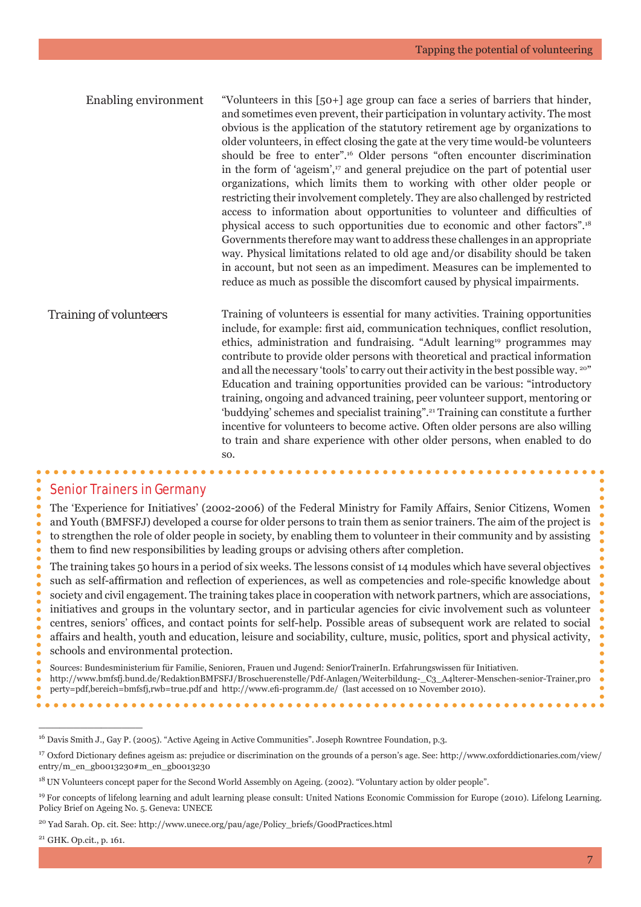Enabling environment "Volunteers in this [50+] age group can face a series of barriers that hinder, and sometimes even prevent, their participation in voluntary activity. The most obvious is the application of the statutory retirement age by organizations to older volunteers, in effect closing the gate at the very time would-be volunteers should be free to enter".16 Older persons "often encounter discrimination in the form of 'ageism',<sup>17</sup> and general prejudice on the part of potential user organizations, which limits them to working with other older people or restricting their involvement completely. They are also challenged by restricted access to information about opportunities to volunteer and difficulties of physical access to such opportunities due to economic and other factors".18 Governments therefore may want to address these challenges in an appropriate way. Physical limitations related to old age and/or disability should be taken in account, but not seen as an impediment. Measures can be implemented to reduce as much as possible the discomfort caused by physical impairments.

*Training of volunteers* Training of volunteers is essential for many activities. Training opportunities include, for example: first aid, communication techniques, conflict resolution, ethics, administration and fundraising. "Adult learning19 programmes may contribute to provide older persons with theoretical and practical information and all the necessary 'tools' to carry out their activity in the best possible way. 20" Education and training opportunities provided can be various: "introductory training, ongoing and advanced training, peer volunteer support, mentoring or 'buddying' schemes and specialist training".21 Training can constitute a further incentive for volunteers to become active. Often older persons are also willing to train and share experience with other older persons, when enabled to do so.

#### Senior Trainers in Germany

The 'Experience for Initiatives' (2002-2006) of the Federal Ministry for Family Affairs, Senior Citizens, Women and Youth (BMFSFJ) developed a course for older persons to train them as senior trainers. The aim of the project is to strengthen the role of older people in society, by enabling them to volunteer in their community and by assisting them to find new responsibilities by leading groups or advising others after completion.

The training takes 50 hours in a period of six weeks. The lessons consist of 14 modules which have several objectives such as self-affirmation and reflection of experiences, as well as competencies and role-specific knowledge about society and civil engagement. The training takes place in cooperation with network partners, which are associations, initiatives and groups in the voluntary sector, and in particular agencies for civic involvement such as volunteer centres, seniors' offices, and contact points for self-help. Possible areas of subsequent work are related to social affairs and health, youth and education, leisure and sociability, culture, music, politics, sport and physical activity, schools and environmental protection.

Sources: Bundesministerium für Familie, Senioren, Frauen und Jugend: SeniorTrainerIn. Erfahrungswissen für Initiativen. http://www.bmfsfj.bund.de/RedaktionBMFSFJ/Broschuerenstelle/Pdf-Anlagen/Weiterbildung-\_C3\_A4lterer-Menschen-senior-Trainer,pro

16 Davis Smith J., Gay P. (2005). "Active Ageing in Active Communities". Joseph Rowntree Foundation, p.3.

. . . . . . . . . . . .

perty=pdf,bereich=bmfsfj,rwb=true.pdf and http://www.efi -programm.de/ (last accessed on 10 November 2010).

<sup>&</sup>lt;sup>17</sup> Oxford Dictionary defines ageism as: prejudice or discrimination on the grounds of a person's age. See: http://www.oxforddictionaries.com/view/ entry/m\_en\_gb0013230#m\_en\_gb0013230

<sup>&</sup>lt;sup>18</sup> UN Volunteers concept paper for the Second World Assembly on Ageing. (2002). "Voluntary action by older people".

<sup>&</sup>lt;sup>19</sup> For concepts of lifelong learning and adult learning please consult: United Nations Economic Commission for Europe (2010). Lifelong Learning. Policy Brief on Ageing No. 5. Geneva: UNECE

<sup>20</sup> Yad Sarah. Op. cit. See: http://www.unece.org/pau/age/Policy\_briefs/GoodPractices.html

<sup>21</sup> GHK. Op.cit., p. 161.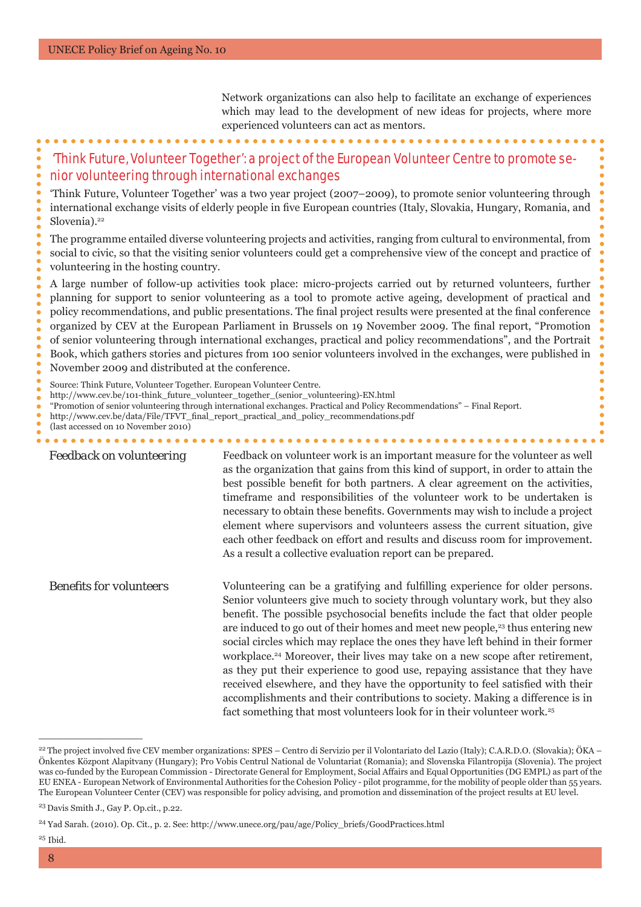Network organizations can also help to facilitate an exchange of experiences which may lead to the development of new ideas for projects, where more experienced volunteers can act as mentors.

# 'Think Future, Volunteer Together': a project of the European Volunteer Centre to promote senior volunteering through international exchanges

'Think Future, Volunteer Together' was a two year project (2007–2009), to promote senior volunteering through international exchange visits of elderly people in five European countries (Italy, Slovakia, Hungary, Romania, and Slovenia).<sup>22</sup>

The programme entailed diverse volunteering projects and activities, ranging from cultural to environmental, from social to civic, so that the visiting senior volunteers could get a comprehensive view of the concept and practice of volunteering in the hosting country.

A large number of follow-up activities took place: micro-projects carried out by returned volunteers, further planning for support to senior volunteering as a tool to promote active ageing, development of practical and policy recommendations, and public presentations. The final project results were presented at the final conference organized by CEV at the European Parliament in Brussels on 19 November 2009. The final report, "Promotion" of senior volunteering through international exchanges, practical and policy recommendations", and the Portrait Book, which gathers stories and pictures from 100 senior volunteers involved in the exchanges, were published in November 2009 and distributed at the conference.

Source: Think Future, Volunteer Together. European Volunteer Centre.

- http://www.cev.be/101-think\_future\_volunteer\_together\_(senior\_volunteering)-EN.html
- "Promotion of senior volunteering through international exchanges. Practical and Policy Recommendations" Final Report.

http://www.cev.be/data/File/TFVT\_final\_report\_practical\_and\_policy\_recommendations.pdf

*Feedback on volunteering* Feedback on volunteer work is an important measure for the volunteer as well as the organization that gains from this kind of support, in order to attain the best possible benefit for both partners. A clear agreement on the activities, timeframe and responsibilities of the volunteer work to be undertaken is necessary to obtain these benefits. Governments may wish to include a project element where supervisors and volunteers assess the current situation, give each other feedback on effort and results and discuss room for improvement. As a result a collective evaluation report can be prepared.

*Benefits for volunteers* Volunteering can be a gratifying and fulfilling experience for older persons. Senior volunteers give much to society through voluntary work, but they also benefit. The possible psychosocial benefits include the fact that older people are induced to go out of their homes and meet new people,<sup>23</sup> thus entering new social circles which may replace the ones they have left behind in their former workplace.24 Moreover, their lives may take on a new scope after retirement, as they put their experience to good use, repaying assistance that they have received elsewhere, and they have the opportunity to feel satisfied with their accomplishments and their contributions to society. Making a difference is in fact something that most volunteers look for in their volunteer work.<sup>25</sup>

 $\_$   $\_$   $\_$   $\_$   $\_$   $\_$   $\_$   $\_$   $\_$   $\_$ 

 $25$  Ibid.

<sup>(</sup>last accessed on 10 November 2010)

<sup>&</sup>lt;sup>22</sup> The project involved five CEV member organizations: SPES – Centro di Servizio per il Volontariato del Lazio (Italy); C.A.R.D.O. (Slovakia); ÖKA – Önkentes Központ Alapitvany (Hungary); Pro Vobis Centrul National de Voluntariat (Romania); and Slovenska Filantropija (Slovenia). The project was co-funded by the European Commission - Directorate General for Employment, Social Affairs and Equal Opportunities (DG EMPL) as part of the EU ENEA - European Network of Environmental Authorities for the Cohesion Policy - pilot programme, for the mobility of people older than 55 years. The European Volunteer Center (CEV) was responsible for policy advising, and promotion and dissemination of the project results at EU level.

<sup>23</sup> Davis Smith J., Gay P. Op.cit., p.22.

<sup>&</sup>lt;sup>24</sup> Yad Sarah. (2010). Op. Cit., p. 2. See: http://www.unece.org/pau/age/Policy\_briefs/GoodPractices.html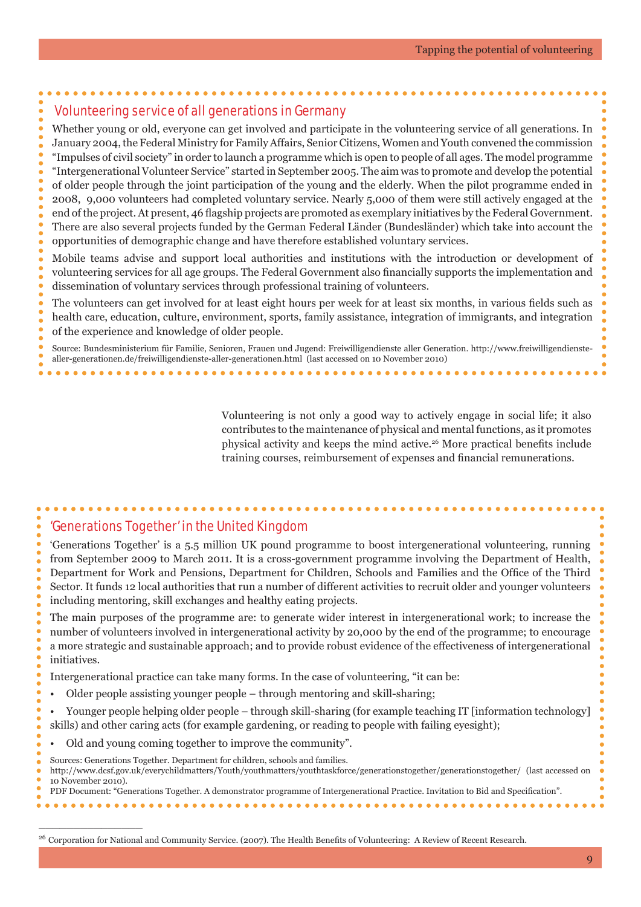# Volunteering service of all generations in Germany

Whether young or old, everyone can get involved and participate in the volunteering service of all generations. In January 2004, the Federal Ministry for Family Affairs, Senior Citizens, Women and Youth convened the commission "Impulses of civil society" in order to launch a programme which is open to people of all ages. The model programme "Intergenerational Volunteer Service" started in September 2005. The aim was to promote and develop the potential of older people through the joint participation of the young and the elderly. When the pilot programme ended in 2008, 9,000 volunteers had completed voluntary service. Nearly 5,000 of them were still actively engaged at the end of the project. At present, 46 flagship projects are promoted as exemplary initiatives by the Federal Government. There are also several projects funded by the German Federal Länder (Bundesländer) which take into account the opportunities of demographic change and have therefore established voluntary services.

Mobile teams advise and support local authorities and institutions with the introduction or development of volunteering services for all age groups. The Federal Government also financially supports the implementation and dissemination of voluntary services through professional training of volunteers.

The volunteers can get involved for at least eight hours per week for at least six months, in various fields such as health care, education, culture, environment, sports, family assistance, integration of immigrants, and integration

of the experience and knowledge of older people.

Source: Bundesministerium für Familie, Senioren, Frauen und Jugend: Freiwilligendienste aller Generation. http://www.freiwilligendienstealler-generationen.de/freiwilligendienste-aller-generationen.html (last accessed on 10 November 2010)

> Volunteering is not only a good way to actively engage in social life; it also contributes to the maintenance of physical and mental functions, as it promotes physical activity and keeps the mind active.<sup>26</sup> More practical benefits include training courses, reimbursement of expenses and financial remunerations.

# 'Generations Together' in the United Kingdom

'Generations Together' is a 5.5 million UK pound programme to boost intergenerational volunteering, running from September 2009 to March 2011. It is a cross-government programme involving the Department of Health, Department for Work and Pensions, Department for Children, Schools and Families and the Office of the Third Sector. It funds 12 local authorities that run a number of different activities to recruit older and younger volunteers including mentoring, skill exchanges and healthy eating projects.

The main purposes of the programme are: to generate wider interest in intergenerational work; to increase the number of volunteers involved in intergenerational activity by 20,000 by the end of the programme; to encourage a more strategic and sustainable approach; and to provide robust evidence of the effectiveness of intergenerational initiatives.

Intergenerational practice can take many forms. In the case of volunteering, "it can be:

- Older people assisting younger people through mentoring and skill-sharing;
- Younger people helping older people through skill-sharing (for example teaching IT [information technology]

skills) and other caring acts (for example gardening, or reading to people with failing eyesight);

- Old and young coming together to improve the community".
- Sources: Generations Together. Department for children, schools and families.

\_\_\_\_\_\_\_\_\_\_\_\_\_\_\_

http://www.dcsf.gov.uk/everychildmatters/Youth/youthmatters/youthtaskforce/generationstogether/generationstogether/ (last accessed on 10 November 2010). PDF Document: "Generations Together. A demonstrator programme of Intergenerational Practice. Invitation to Bid and Specification".

<sup>&</sup>lt;sup>26</sup> Corporation for National and Community Service. (2007). The Health Benefits of Volunteering: A Review of Recent Research.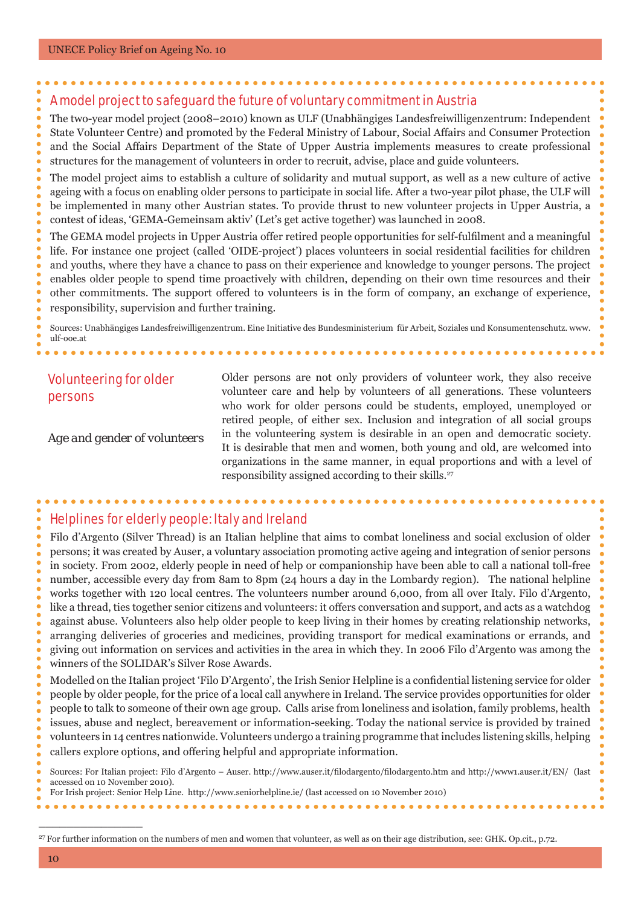# A model project to safeguard the future of voluntary commitment in Austria

The two-year model project (2008–2010) known as ULF (Unabhängiges Landesfreiwilligenzentrum: Independent State Volunteer Centre) and promoted by the Federal Ministry of Labour, Social Affairs and Consumer Protection and the Social Affairs Department of the State of Upper Austria implements measures to create professional structures for the management of volunteers in order to recruit, advise, place and guide volunteers.

The model project aims to establish a culture of solidarity and mutual support, as well as a new culture of active ageing with a focus on enabling older persons to participate in social life. After a two-year pilot phase, the ULF will be implemented in many other Austrian states. To provide thrust to new volunteer projects in Upper Austria, a contest of ideas, 'GEMA-Gemeinsam aktiv' (Let's get active together) was launched in 2008.

The GEMA model projects in Upper Austria offer retired people opportunities for self-fulfilment and a meaningful life. For instance one project (called 'OIDE-project') places volunteers in social residential facilities for children and youths, where they have a chance to pass on their experience and knowledge to younger persons. The project enables older people to spend time proactively with children, depending on their own time resources and their other commitments. The support offered to volunteers is in the form of company, an exchange of experience, responsibility, supervision and further training.

Sources: Unabhängiges Landesfreiwilligenzentrum. Eine Initiative des Bundesministerium für Arbeit, Soziales und Konsumentenschutz. www. ulf-ooe.at

# Volunteering for older persons

 $\mathbf{A} \mathbf{A} \mathbf{A} \mathbf{A} \mathbf{A}$ 

*Age and gender of volunteers*

Older persons are not only providers of volunteer work, they also receive volunteer care and help by volunteers of all generations. These volunteers who work for older persons could be students, employed, unemployed or retired people, of either sex. Inclusion and integration of all social groups in the volunteering system is desirable in an open and democratic society. It is desirable that men and women, both young and old, are welcomed into organizations in the same manner, in equal proportions and with a level of responsibility assigned according to their skills.<sup>27</sup>

. . . . . . . . . . . . . .

#### Helplines for elderly people: Italy and Ireland

Filo d'Argento (Silver Thread) is an Italian helpline that aims to combat loneliness and social exclusion of older persons; it was created by Auser, a voluntary association promoting active ageing and integration of senior persons in society. From 2002, elderly people in need of help or companionship have been able to call a national toll-free number, accessible every day from 8am to 8pm (24 hours a day in the Lombardy region). The national helpline works together with 120 local centres. The volunteers number around 6,000, from all over Italy. Filo d'Argento, like a thread, ties together senior citizens and volunteers: it offers conversation and support, and acts as a watchdog against abuse. Volunteers also help older people to keep living in their homes by creating relationship networks, arranging deliveries of groceries and medicines, providing transport for medical examinations or errands, and giving out information on services and activities in the area in which they. In 2006 Filo d'Argento was among the winners of the SOLIDAR's Silver Rose Awards.

Modelled on the Italian project 'Filo D'Argento', the Irish Senior Helpline is a confidential listening service for older people by older people, for the price of a local call anywhere in Ireland. The service provides opportunities for older people to talk to someone of their own age group. Calls arise from loneliness and isolation, family problems, health issues, abuse and neglect, bereavement or information-seeking. Today the national service is provided by trained volunteers in 14 centres nationwide. Volunteers undergo a training programme that includes listening skills, helping callers explore options, and offering helpful and appropriate information.

Sources: For Italian project: Filo d'Argento – Auser. http://www.auser.it/filodargento/filodargento.htm and http://www1.auser.it/EN/ (last accessed on 10 November 2010). For Irish project: Senior Help Line. http://www.seniorhelpline.ie/ (last accessed on 10 November 2010)

<sup>&</sup>lt;sup>27</sup> For further information on the numbers of men and women that volunteer, as well as on their age distribution, see: GHK. Op.cit., p.72.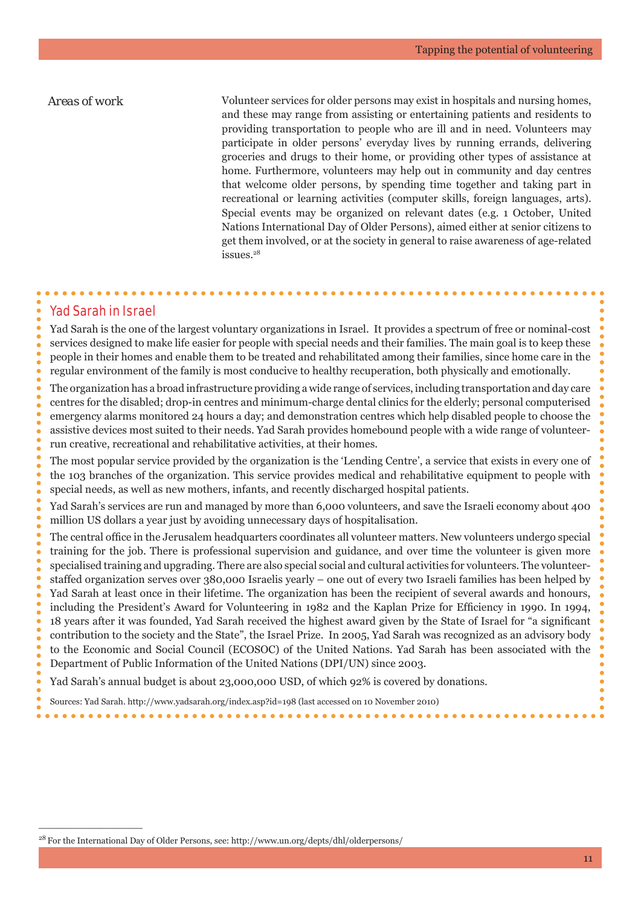*Areas of work* Volunteer services for older persons may exist in hospitals and nursing homes, and these may range from assisting or entertaining patients and residents to providing transportation to people who are ill and in need. Volunteers may participate in older persons' everyday lives by running errands, delivering groceries and drugs to their home, or providing other types of assistance at home. Furthermore, volunteers may help out in community and day centres that welcome older persons, by spending time together and taking part in recreational or learning activities (computer skills, foreign languages, arts). Special events may be organized on relevant dates (e.g. 1 October, United Nations International Day of Older Persons), aimed either at senior citizens to get them involved, or at the society in general to raise awareness of age-related issues.28

#### Yad Sarah in Israel

 $\frac{1}{2}$  ,  $\frac{1}{2}$  ,  $\frac{1}{2}$  ,  $\frac{1}{2}$  ,  $\frac{1}{2}$  ,  $\frac{1}{2}$  ,  $\frac{1}{2}$  ,  $\frac{1}{2}$  ,  $\frac{1}{2}$ 

Yad Sarah is the one of the largest voluntary organizations in Israel. It provides a spectrum of free or nominal-cost services designed to make life easier for people with special needs and their families. The main goal is to keep these people in their homes and enable them to be treated and rehabilitated among their families, since home care in the regular environment of the family is most conducive to healthy recuperation, both physically and emotionally.

The organization has a broad infrastructure providing a wide range of services, including transportation and day care centres for the disabled; drop-in centres and minimum-charge dental clinics for the elderly; personal computerised emergency alarms monitored 24 hours a day; and demonstration centres which help disabled people to choose the assistive devices most suited to their needs. Yad Sarah provides homebound people with a wide range of volunteerrun creative, recreational and rehabilitative activities, at their homes.

The most popular service provided by the organization is the 'Lending Centre', a service that exists in every one of the 103 branches of the organization. This service provides medical and rehabilitative equipment to people with special needs, as well as new mothers, infants, and recently discharged hospital patients.

Yad Sarah's services are run and managed by more than 6,000 volunteers, and save the Israeli economy about 400 million US dollars a year just by avoiding unnecessary days of hospitalisation.

The central office in the Jerusalem headquarters coordinates all volunteer matters. New volunteers undergo special training for the job. There is professional supervision and guidance, and over time the volunteer is given more specialised training and upgrading. There are also special social and cultural activities for volunteers. The volunteerstaffed organization serves over 380,000 Israelis yearly – one out of every two Israeli families has been helped by Yad Sarah at least once in their lifetime. The organization has been the recipient of several awards and honours, including the President's Award for Volunteering in 1982 and the Kaplan Prize for Efficiency in 1990. In 1994, 18 years after it was founded, Yad Sarah received the highest award given by the State of Israel for "a significant contribution to the society and the State", the Israel Prize. In 2005, Yad Sarah was recognized as an advisory body to the Economic and Social Council (ECOSOC) of the United Nations. Yad Sarah has been associated with the Department of Public Information of the United Nations (DPI/UN) since 2003.

Yad Sarah's annual budget is about 23,000,000 USD, of which 92% is covered by donations.

Sources: Yad Sarah. http://www.yadsarah.org/index.asp?id=198 (last accessed on 10 November 2010)

<sup>28</sup> For the International Day of Older Persons, see: http://www.un.org/depts/dhl/olderpersons/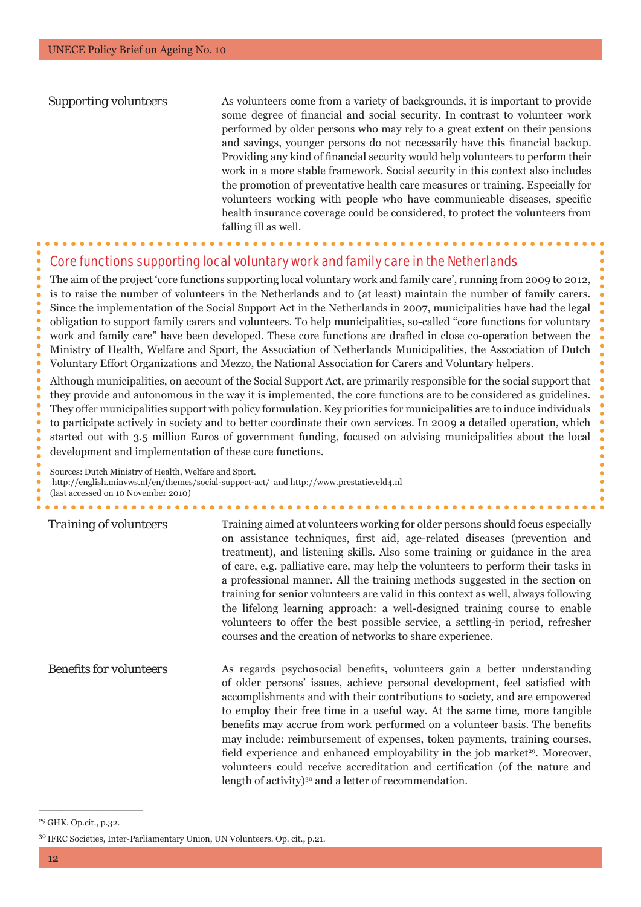*Supporting volunteers* As volunteers come from a variety of backgrounds, it is important to provide some degree of financial and social security. In contrast to volunteer work performed by older persons who may rely to a great extent on their pensions and savings, younger persons do not necessarily have this financial backup. Providing any kind of financial security would help volunteers to perform their work in a more stable framework. Social security in this context also includes the promotion of preventative health care measures or training. Especially for volunteers working with people who have communicable diseases, specific health insurance coverage could be considered, to protect the volunteers from falling ill as well.

## Core functions supporting local voluntary work and family care in the Netherlands

The aim of the project 'core functions supporting local voluntary work and family care', running from 2009 to 2012, is to raise the number of volunteers in the Netherlands and to (at least) maintain the number of family carers. Since the implementation of the Social Support Act in the Netherlands in 2007, municipalities have had the legal obligation to support family carers and volunteers. To help municipalities, so-called "core functions for voluntary work and family care" have been developed. These core functions are drafted in close co-operation between the Ministry of Health, Welfare and Sport, the Association of Netherlands Municipalities, the Association of Dutch Voluntary Effort Organizations and Mezzo, the National Association for Carers and Voluntary helpers.

Although municipalities, on account of the Social Support Act, are primarily responsible for the social support that they provide and autonomous in the way it is implemented, the core functions are to be considered as guidelines. They offer municipalities support with policy formulation. Key priorities for municipalities are to induce individuals to participate actively in society and to better coordinate their own services. In 2009 a detailed operation, which started out with 3.5 million Euros of government funding, focused on advising municipalities about the local development and implementation of these core functions.

Sources: Dutch Ministry of Health, Welfare and Sport.

 http://english.minvws.nl/en/themes/social-support-act/ and http://www.prestatieveld4.nl (last accessed on 10 November 2010)

**Training of volunteers** Training aimed at volunteers working for older persons should focus especially on assistance techniques, first aid, age-related diseases (prevention and treatment), and listening skills. Also some training or guidance in the area of care, e.g. palliative care, may help the volunteers to perform their tasks in a professional manner. All the training methods suggested in the section on training for senior volunteers are valid in this context as well, always following the lifelong learning approach: a well-designed training course to enable volunteers to offer the best possible service, a settling-in period, refresher courses and the creation of networks to share experience. *Benefits for volunteers* As regards psychosocial benefits, volunteers gain a better understanding of older persons' issues, achieve personal development, feel satisfied with

accomplishments and with their contributions to society, and are empowered to employ their free time in a useful way. At the same time, more tangible benefits may accrue from work performed on a volunteer basis. The benefits may include: reimbursement of expenses, token payments, training courses, field experience and enhanced employability in the job market<sup>29</sup>. Moreover, volunteers could receive accreditation and certification (of the nature and length of activity)<sup>30</sup> and a letter of recommendation.

 $\frac{1}{2}$  ,  $\frac{1}{2}$  ,  $\frac{1}{2}$  ,  $\frac{1}{2}$  ,  $\frac{1}{2}$  ,  $\frac{1}{2}$  ,  $\frac{1}{2}$  ,  $\frac{1}{2}$  ,  $\frac{1}{2}$ 

<sup>29</sup> GHK. Op.cit., p.32.

<sup>30</sup> IFRC Societies, Inter-Parliamentary Union, UN Volunteers. Op. cit., p.21.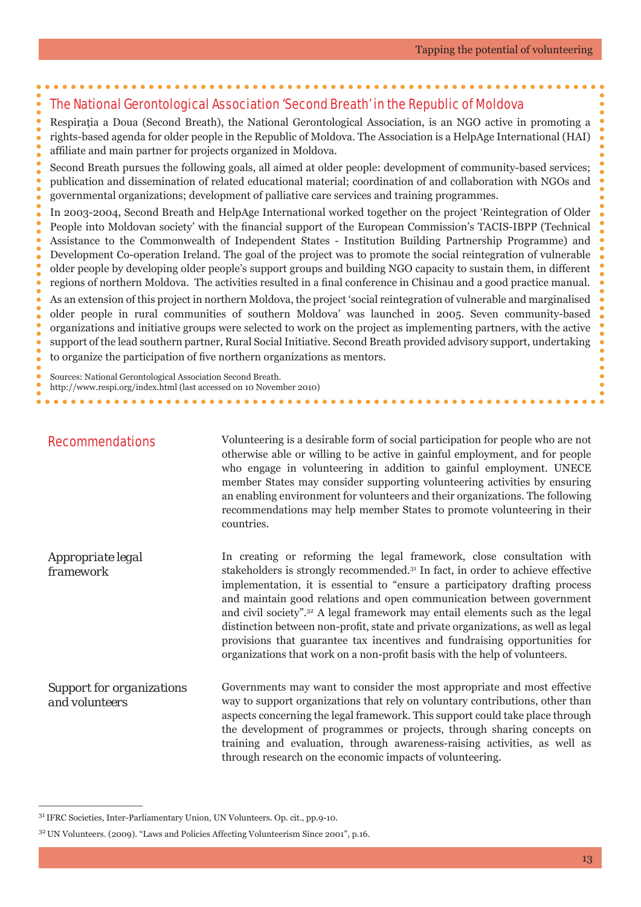# The National Gerontological Association 'Second Breath' in the Republic of Moldova

Respiraţia a Doua (Second Breath), the National Gerontological Association, is an NGO active in promoting a rights-based agenda for older people in the Republic of Moldova. The Association is a HelpAge International (HAI) affiliate and main partner for projects organized in Moldova.

Second Breath pursues the following goals, all aimed at older people: development of community-based services; publication and dissemination of related educational material; coordination of and collaboration with NGOs and governmental organizations; development of palliative care services and training programmes.

In 2003-2004, Second Breath and HelpAge International worked together on the project 'Reintegration of Older People into Moldovan society' with the financial support of the European Commission's TACIS-IBPP (Technical Assistance to the Commonwealth of Independent States - Institution Building Partnership Programme) and Development Co-operation Ireland. The goal of the project was to promote the social reintegration of vulnerable older people by developing older people's support groups and building NGO capacity to sustain them, in different regions of northern Moldova. The activities resulted in a final conference in Chisinau and a good practice manual. As an extension of this project in northern Moldova, the project 'social reintegration of vulnerable and marginalised older people in rural communities of southern Moldova' was launched in 2005. Seven community-based organizations and initiative groups were selected to work on the project as implementing partners, with the active support of the lead southern partner, Rural Social Initiative. Second Breath provided advisory support, undertaking to organize the participation of five northern organizations as mentors.

Sources: National Gerontological Association Second Breath.

http://www.respi.org/index.html (last accessed on 10 November 2010)

|  |  |  |  |  | <b>Recommendations</b> |
|--|--|--|--|--|------------------------|
|  |  |  |  |  |                        |

 $\frac{1}{2}$  ,  $\frac{1}{2}$  ,  $\frac{1}{2}$  ,  $\frac{1}{2}$  ,  $\frac{1}{2}$  ,  $\frac{1}{2}$  ,  $\frac{1}{2}$  ,  $\frac{1}{2}$  ,  $\frac{1}{2}$ 

Volunteering is a desirable form of social participation for people who are not otherwise able or willing to be active in gainful employment, and for people who engage in volunteering in addition to gainful employment. UNECE member States may consider supporting volunteering activities by ensuring an enabling environment for volunteers and their organizations. The following recommendations may help member States to promote volunteering in their countries.

*Appropriate legal framework* In creating or reforming the legal framework, close consultation with stakeholders is strongly recommended.31 In fact, in order to achieve effective implementation, it is essential to "ensure a participatory drafting process and maintain good relations and open communication between government and civil society".32 A legal framework may entail elements such as the legal distinction between non-profit, state and private organizations, as well as legal provisions that guarantee tax incentives and fundraising opportunities for organizations that work on a non-profit basis with the help of volunteers.

*Support for organizations and volunteers* Governments may want to consider the most appropriate and most effective way to support organizations that rely on voluntary contributions, other than aspects concerning the legal framework. This support could take place through the development of programmes or projects, through sharing concepts on training and evaluation, through awareness-raising activities, as well as through research on the economic impacts of volunteering.

<sup>31</sup> IFRC Societies, Inter-Parliamentary Union, UN Volunteers. Op. cit., pp.9-10.

<sup>32</sup> UN Volunteers. (2009). "Laws and Policies Affecting Volunteerism Since 2001", p.16.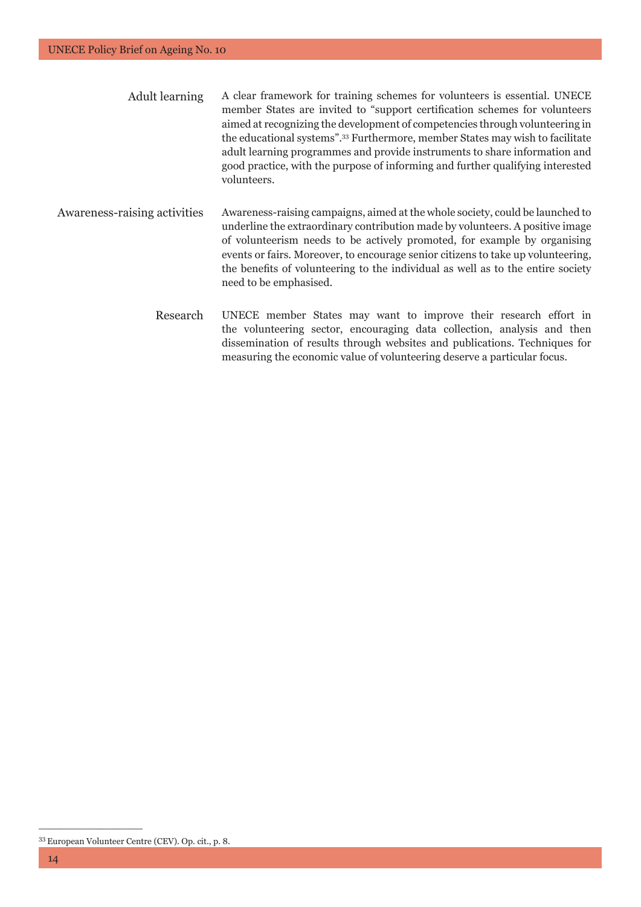| <b>Adult</b> learning               | A clear framework for training schemes for volunteers is essential. UNECE<br>member States are invited to "support certification schemes for volunteers"<br>aimed at recognizing the development of competencies through volunteering in<br>the educational systems". <sup>33</sup> Furthermore, member States may wish to facilitate<br>adult learning programmes and provide instruments to share information and<br>good practice, with the purpose of informing and further qualifying interested<br>volunteers. |
|-------------------------------------|----------------------------------------------------------------------------------------------------------------------------------------------------------------------------------------------------------------------------------------------------------------------------------------------------------------------------------------------------------------------------------------------------------------------------------------------------------------------------------------------------------------------|
| <b>Awareness-raising activities</b> | Awareness-raising campaigns, aimed at the whole society, could be launched to<br>underline the extraordinary contribution made by volunteers. A positive image<br>of volunteerism needs to be actively promoted, for example by organising<br>events or fairs. Moreover, to encourage senior citizens to take up volunteering,<br>the benefits of volunteering to the individual as well as to the entire society<br>need to be emphasised.                                                                          |

Research UNECE member States may want to improve their research effort in the volunteering sector, encouraging data collection, analysis and then dissemination of results through websites and publications. Techniques for measuring the economic value of volunteering deserve a particular focus.

<sup>33</sup> European Volunteer Centre (CEV). Op. cit., p. 8.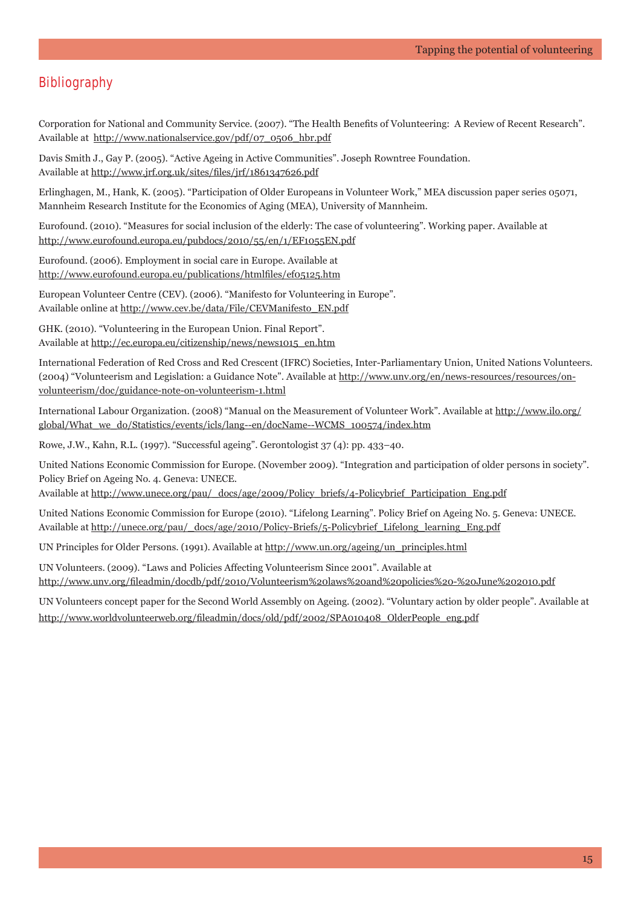# **Bibliography**

Corporation for National and Community Service. (2007). "The Health Benefits of Volunteering: A Review of Recent Research". Available at http://www.nationalservice.gov/pdf/07\_0506\_hbr.pdf

Davis Smith J., Gay P. (2005). "Active Ageing in Active Communities". Joseph Rowntree Foundation. Available at http://www.jrf.org.uk/sites/files/jrf/1861347626.pdf

Erlinghagen, M., Hank, K. (2005). "Participation of Older Europeans in Volunteer Work," MEA discussion paper series 05071, Mannheim Research Institute for the Economics of Aging (MEA), University of Mannheim.

Eurofound. (2010). "Measures for social inclusion of the elderly: The case of volunteering". Working paper. Available at http://www.eurofound.europa.eu/pubdocs/2010/55/en/1/EF1055EN.pdf

Eurofound. (2006). Employment in social care in Europe. Available at http://www.eurofound.europa.eu/publications/htmlfiles/ef05125.htm

European Volunteer Centre (CEV). (2006). "Manifesto for Volunteering in Europe". Available online at http://www.cev.be/data/File/CEVManifesto\_EN.pdf

GHK. (2010). "Volunteering in the European Union. Final Report". Available at http://ec.europa.eu/citizenship/news/news1015\_en.htm

International Federation of Red Cross and Red Crescent (IFRC) Societies, Inter-Parliamentary Union, United Nations Volunteers. (2004) "Volunteerism and Legislation: a Guidance Note". Available at http://www.unv.org/en/news-resources/resources/onvolunteerism/doc/guidance-note-on-volunteerism-1.html

International Labour Organization. (2008) "Manual on the Measurement of Volunteer Work". Available at http://www.ilo.org/ global/What\_we\_do/Statistics/events/icls/lang--en/docName--WCMS\_100574/index.htm

Rowe, J.W., Kahn, R.L. (1997). "Successful ageing". Gerontologist 37 (4): pp. 433–40.

United Nations Economic Commission for Europe. (November 2009). "Integration and participation of older persons in society". Policy Brief on Ageing No. 4. Geneva: UNECE.

Available at http://www.unece.org/pau/\_docs/age/2009/Policy\_briefs/4-Policybrief\_Participation\_Eng.pdf

United Nations Economic Commission for Europe (2010). "Lifelong Learning". Policy Brief on Ageing No. 5. Geneva: UNECE. Available at http://unece.org/pau/\_docs/age/2010/Policy-Briefs/5-Policybrief\_Lifelong\_learning\_Eng.pdf

UN Principles for Older Persons. (1991). Available at http://www.un.org/ageing/un\_principles.html

UN Volunteers. (2009). "Laws and Policies Affecting Volunteerism Since 2001". Available at http://www.unv.org/fi leadmin/docdb/pdf/2010/Volunteerism%20laws%20and%20policies%20-%20June%202010.pdf

UN Volunteers concept paper for the Second World Assembly on Ageing. (2002). "Voluntary action by older people". Available at http://www.worldvolunteerweb.org/fileadmin/docs/old/pdf/2002/SPA010408\_OlderPeople\_eng.pdf